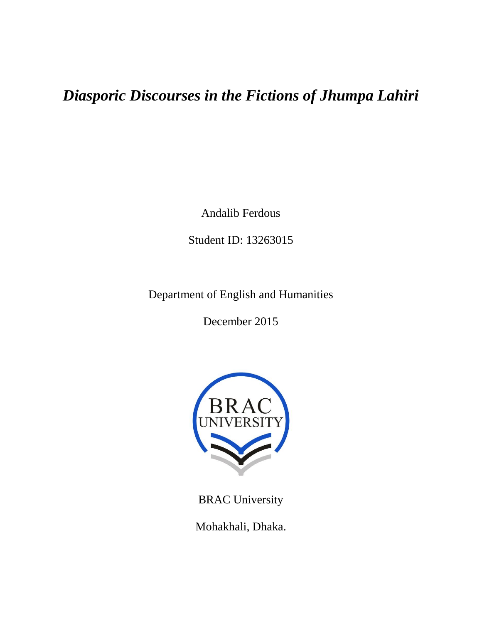# *Diasporic Discourses in the Fictions of Jhumpa Lahiri*

Andalib Ferdous

Student ID: 13263015

Department of English and Humanities

December 2015



BRAC University

Mohakhali, Dhaka.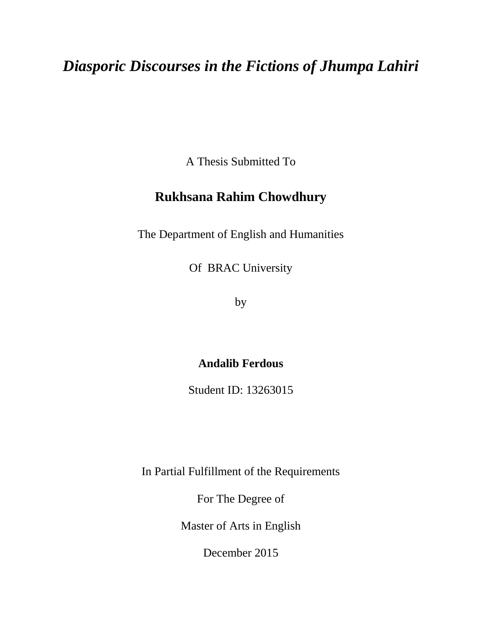# *Diasporic Discourses in the Fictions of Jhumpa Lahiri*

A Thesis Submitted To

## **Rukhsana Rahim Chowdhury**

The Department of English and Humanities

Of BRAC University

by

## **Andalib Ferdous**

Student ID: 13263015

In Partial Fulfillment of the Requirements

For The Degree of

Master of Arts in English

December 2015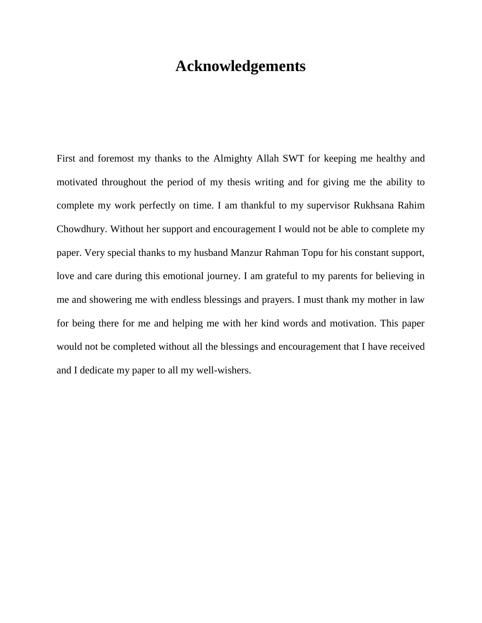# **Acknowledgements**

First and foremost my thanks to the Almighty Allah SWT for keeping me healthy and motivated throughout the period of my thesis writing and for giving me the ability to complete my work perfectly on time. I am thankful to my supervisor Rukhsana Rahim Chowdhury. Without her support and encouragement I would not be able to complete my paper. Very special thanks to my husband Manzur Rahman Topu for his constant support, love and care during this emotional journey. I am grateful to my parents for believing in me and showering me with endless blessings and prayers. I must thank my mother in law for being there for me and helping me with her kind words and motivation. This paper would not be completed without all the blessings and encouragement that I have received and I dedicate my paper to all my well-wishers.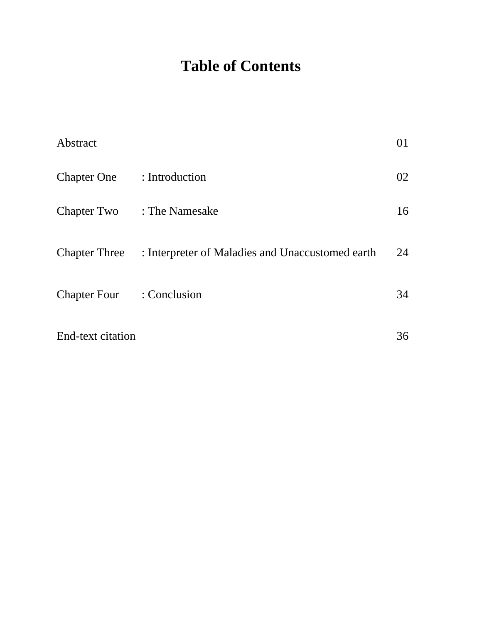# **Table of Contents**

| Abstract                   |                                                                | 01 |
|----------------------------|----------------------------------------------------------------|----|
| Chapter One : Introduction |                                                                | 02 |
|                            | Chapter Two : The Namesake                                     | 16 |
|                            | Chapter Three : Interpreter of Maladies and Unaccustomed earth | 24 |
| Chapter Four : Conclusion  |                                                                | 34 |
| End-text citation          |                                                                | 36 |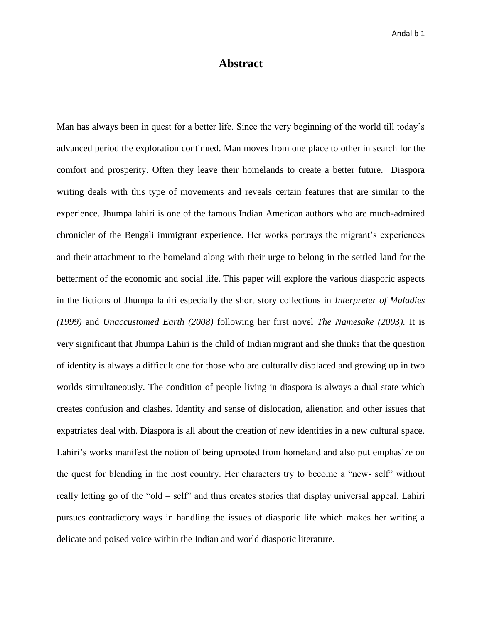### **Abstract**

Man has always been in quest for a better life. Since the very beginning of the world till today's advanced period the exploration continued. Man moves from one place to other in search for the comfort and prosperity. Often they leave their homelands to create a better future. Diaspora writing deals with this type of movements and reveals certain features that are similar to the experience. Jhumpa lahiri is one of the famous Indian American authors who are much-admired chronicler of the Bengali immigrant experience. Her works portrays the migrant's experiences and their attachment to the homeland along with their urge to belong in the settled land for the betterment of the economic and social life. This paper will explore the various diasporic aspects in the fictions of Jhumpa lahiri especially the short story collections in *Interpreter of Maladies (1999)* and *Unaccustomed Earth (2008)* following her first novel *The Namesake (2003).* It is very significant that Jhumpa Lahiri is the child of Indian migrant and she thinks that the question of identity is always a difficult one for those who are culturally displaced and growing up in two worlds simultaneously. The condition of people living in diaspora is always a dual state which creates confusion and clashes. Identity and sense of dislocation, alienation and other issues that expatriates deal with. Diaspora is all about the creation of new identities in a new cultural space. Lahiri's works manifest the notion of being uprooted from homeland and also put emphasize on the quest for blending in the host country. Her characters try to become a "new- self" without really letting go of the "old – self" and thus creates stories that display universal appeal. Lahiri pursues contradictory ways in handling the issues of diasporic life which makes her writing a delicate and poised voice within the Indian and world diasporic literature.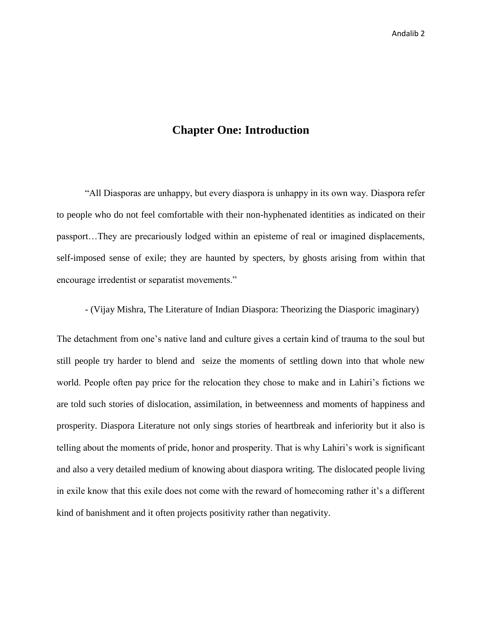### **Chapter One: Introduction**

"All Diasporas are unhappy, but every diaspora is unhappy in its own way. Diaspora refer to people who do not feel comfortable with their non-hyphenated identities as indicated on their passport…They are precariously lodged within an episteme of real or imagined displacements, self-imposed sense of exile; they are haunted by specters, by ghosts arising from within that encourage irredentist or separatist movements."

- (Vijay Mishra, The Literature of Indian Diaspora: Theorizing the Diasporic imaginary)

The detachment from one's native land and culture gives a certain kind of trauma to the soul but still people try harder to blend and seize the moments of settling down into that whole new world. People often pay price for the relocation they chose to make and in Lahiri's fictions we are told such stories of dislocation, assimilation, in betweenness and moments of happiness and prosperity. Diaspora Literature not only sings stories of heartbreak and inferiority but it also is telling about the moments of pride, honor and prosperity. That is why Lahiri's work is significant and also a very detailed medium of knowing about diaspora writing. The dislocated people living in exile know that this exile does not come with the reward of homecoming rather it's a different kind of banishment and it often projects positivity rather than negativity.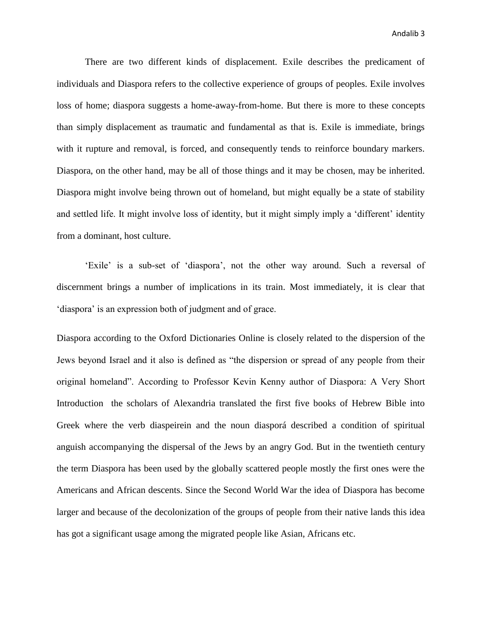Andalib 3

There are two different kinds of displacement. Exile describes the predicament of individuals and Diaspora refers to the collective experience of groups of peoples. Exile involves loss of home; diaspora suggests a home-away-from-home. But there is more to these concepts than simply displacement as traumatic and fundamental as that is. Exile is immediate, brings with it rupture and removal, is forced, and consequently tends to reinforce boundary markers. Diaspora, on the other hand, may be all of those things and it may be chosen, may be inherited. Diaspora might involve being thrown out of homeland, but might equally be a state of stability and settled life. It might involve loss of identity, but it might simply imply a 'different' identity from a dominant, host culture.

'Exile' is a sub-set of 'diaspora', not the other way around. Such a reversal of discernment brings a number of implications in its train. Most immediately, it is clear that 'diaspora' is an expression both of judgment and of grace.

Diaspora according to the Oxford Dictionaries Online is closely related to the dispersion of the Jews beyond Israel and it also is defined as "the dispersion or spread of any people from their original homeland". According to Professor Kevin Kenny author of Diaspora: A Very Short Introduction the scholars of Alexandria translated the first five books of Hebrew Bible into Greek where the verb diaspeirein and the noun diasporá described a condition of spiritual anguish accompanying the dispersal of the Jews by an angry God. But in the twentieth century the term Diaspora has been used by the globally scattered people mostly the first ones were the Americans and African descents. Since the Second World War the idea of Diaspora has become larger and because of the decolonization of the groups of people from their native lands this idea has got a significant usage among the migrated people like Asian, Africans etc.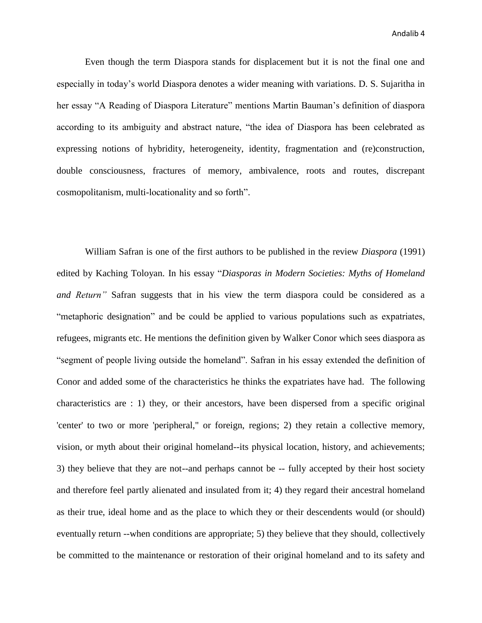Even though the term Diaspora stands for displacement but it is not the final one and especially in today's world Diaspora denotes a wider meaning with variations. D. S. Sujaritha in her essay "A Reading of Diaspora Literature" mentions Martin Bauman's definition of diaspora according to its ambiguity and abstract nature, "the idea of Diaspora has been celebrated as expressing notions of hybridity, heterogeneity, identity, fragmentation and (re)construction, double consciousness, fractures of memory, ambivalence, roots and routes, discrepant cosmopolitanism, multi-locationality and so forth".

William Safran is one of the first authors to be published in the review *Diaspora* (1991) edited by Kaching Toloyan. In his essay "*Diasporas in Modern Societies: Myths of Homeland and Return"* Safran suggests that in his view the term diaspora could be considered as a "metaphoric designation" and be could be applied to various populations such as expatriates, refugees, migrants etc. He mentions the definition given by Walker Conor which sees diaspora as "segment of people living outside the homeland". Safran in his essay extended the definition of Conor and added some of the characteristics he thinks the expatriates have had. The following characteristics are : 1) they, or their ancestors, have been dispersed from a specific original 'center' to two or more 'peripheral," or foreign, regions; 2) they retain a collective memory, vision, or myth about their original homeland--its physical location, history, and achievements; 3) they believe that they are not--and perhaps cannot be -- fully accepted by their host society and therefore feel partly alienated and insulated from it; 4) they regard their ancestral homeland as their true, ideal home and as the place to which they or their descendents would (or should) eventually return --when conditions are appropriate; 5) they believe that they should, collectively be committed to the maintenance or restoration of their original homeland and to its safety and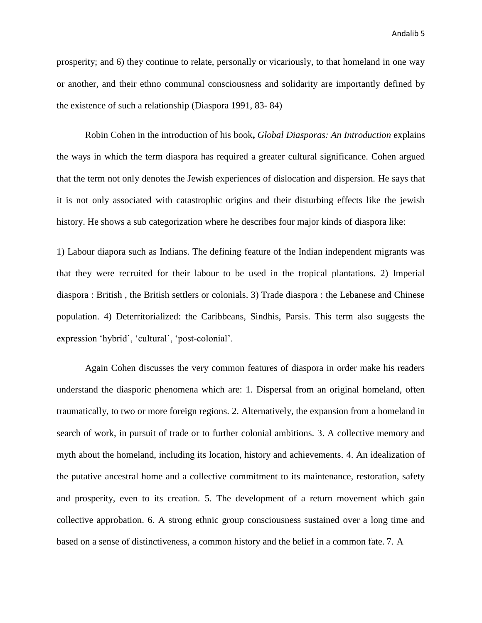Andalib 5

prosperity; and 6) they continue to relate, personally or vicariously, to that homeland in one way or another, and their ethno communal consciousness and solidarity are importantly defined by the existence of such a relationship (Diaspora 1991, 83- 84)

Robin Cohen in the introduction of his book**,** *Global Diasporas: An Introduction* explains the ways in which the term diaspora has required a greater cultural significance. Cohen argued that the term not only denotes the Jewish experiences of dislocation and dispersion. He says that it is not only associated with catastrophic origins and their disturbing effects like the jewish history. He shows a sub categorization where he describes four major kinds of diaspora like:

1) Labour diapora such as Indians. The defining feature of the Indian independent migrants was that they were recruited for their labour to be used in the tropical plantations. 2) Imperial diaspora : British , the British settlers or colonials. 3) Trade diaspora : the Lebanese and Chinese population. 4) Deterritorialized: the Caribbeans, Sindhis, Parsis. This term also suggests the expression 'hybrid', 'cultural', 'post-colonial'.

Again Cohen discusses the very common features of diaspora in order make his readers understand the diasporic phenomena which are: 1. Dispersal from an original homeland, often traumatically, to two or more foreign regions. 2. Alternatively, the expansion from a homeland in search of work, in pursuit of trade or to further colonial ambitions. 3. A collective memory and myth about the homeland, including its location, history and achievements. 4. An idealization of the putative ancestral home and a collective commitment to its maintenance, restoration, safety and prosperity, even to its creation. 5. The development of a return movement which gain collective approbation. 6. A strong ethnic group consciousness sustained over a long time and based on a sense of distinctiveness, a common history and the belief in a common fate. 7. A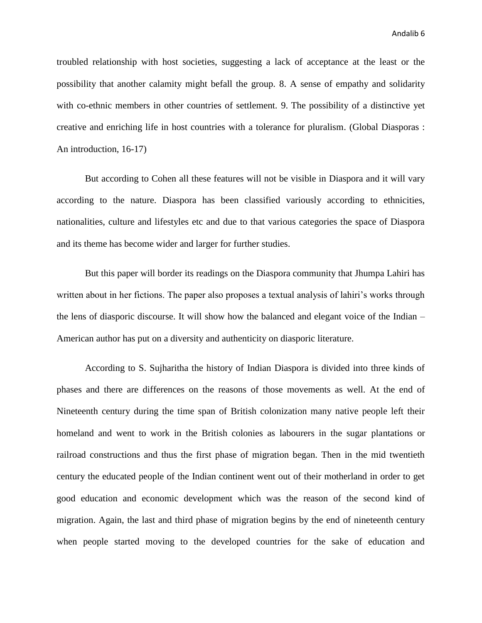troubled relationship with host societies, suggesting a lack of acceptance at the least or the possibility that another calamity might befall the group. 8. A sense of empathy and solidarity with co-ethnic members in other countries of settlement. 9. The possibility of a distinctive yet creative and enriching life in host countries with a tolerance for pluralism. (Global Diasporas : An introduction, 16-17)

But according to Cohen all these features will not be visible in Diaspora and it will vary according to the nature. Diaspora has been classified variously according to ethnicities, nationalities, culture and lifestyles etc and due to that various categories the space of Diaspora and its theme has become wider and larger for further studies.

But this paper will border its readings on the Diaspora community that Jhumpa Lahiri has written about in her fictions. The paper also proposes a textual analysis of lahiri's works through the lens of diasporic discourse. It will show how the balanced and elegant voice of the Indian – American author has put on a diversity and authenticity on diasporic literature.

According to S. Sujharitha the history of Indian Diaspora is divided into three kinds of phases and there are differences on the reasons of those movements as well. At the end of Nineteenth century during the time span of British colonization many native people left their homeland and went to work in the British colonies as labourers in the sugar plantations or railroad constructions and thus the first phase of migration began. Then in the mid twentieth century the educated people of the Indian continent went out of their motherland in order to get good education and economic development which was the reason of the second kind of migration. Again, the last and third phase of migration begins by the end of nineteenth century when people started moving to the developed countries for the sake of education and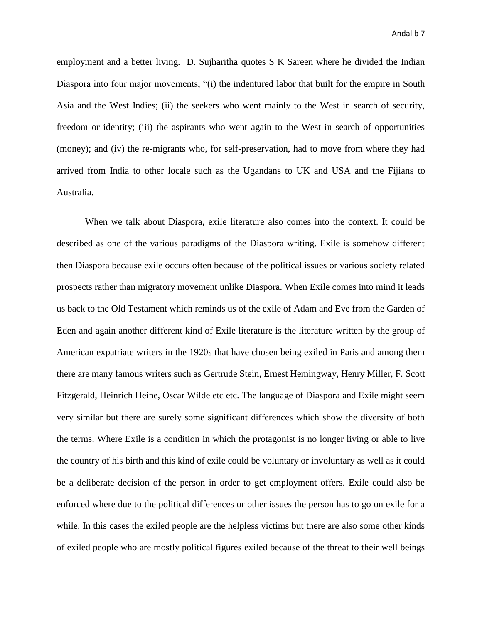employment and a better living. D. Sujharitha quotes S K Sareen where he divided the Indian Diaspora into four major movements, "(i) the indentured labor that built for the empire in South Asia and the West Indies; (ii) the seekers who went mainly to the West in search of security, freedom or identity; (iii) the aspirants who went again to the West in search of opportunities (money); and (iv) the re-migrants who, for self-preservation, had to move from where they had arrived from India to other locale such as the Ugandans to UK and USA and the Fijians to Australia.

When we talk about Diaspora, exile literature also comes into the context. It could be described as one of the various paradigms of the Diaspora writing. Exile is somehow different then Diaspora because exile occurs often because of the political issues or various society related prospects rather than migratory movement unlike Diaspora. When Exile comes into mind it leads us back to the Old Testament which reminds us of the exile of Adam and Eve from the Garden of Eden and again another different kind of Exile literature is the literature written by the group of American expatriate writers in the 1920s that have chosen being exiled in Paris and among them there are many famous writers such as Gertrude Stein, Ernest Hemingway, Henry Miller, F. Scott Fitzgerald, Heinrich Heine, Oscar Wilde etc etc. The language of Diaspora and Exile might seem very similar but there are surely some significant differences which show the diversity of both the terms. Where Exile is a condition in which the protagonist is no longer living or able to live the country of his birth and this kind of exile could be voluntary or involuntary as well as it could be a deliberate decision of the person in order to get employment offers. Exile could also be enforced where due to the political differences or other issues the person has to go on exile for a while. In this cases the exiled people are the helpless victims but there are also some other kinds of exiled people who are mostly political figures exiled because of the threat to their well beings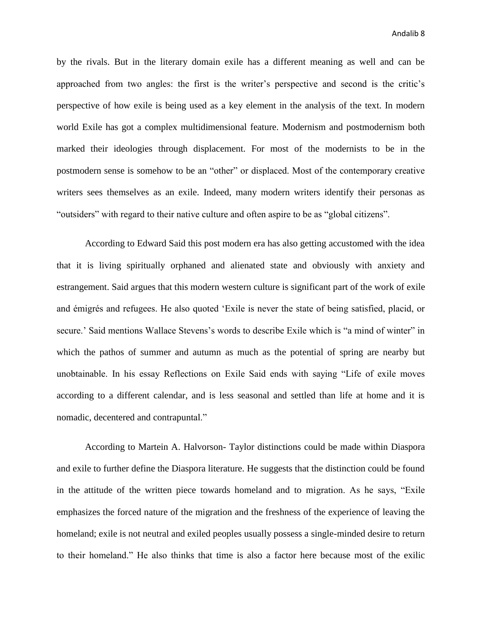Andalib 8

by the rivals. But in the literary domain exile has a different meaning as well and can be approached from two angles: the first is the writer's perspective and second is the critic's perspective of how exile is being used as a key element in the analysis of the text. In modern world Exile has got a complex multidimensional feature. Modernism and postmodernism both marked their ideologies through displacement. For most of the modernists to be in the postmodern sense is somehow to be an "other" or displaced. Most of the contemporary creative writers sees themselves as an exile. Indeed, many modern writers identify their personas as "outsiders" with regard to their native culture and often aspire to be as "global citizens".

According to Edward Said this post modern era has also getting accustomed with the idea that it is living spiritually orphaned and alienated state and obviously with anxiety and estrangement. Said argues that this modern western culture is significant part of the work of exile and émigrés and refugees. He also quoted 'Exile is never the state of being satisfied, placid, or secure.' Said mentions Wallace Stevens's words to describe Exile which is "a mind of winter" in which the pathos of summer and autumn as much as the potential of spring are nearby but unobtainable. In his essay Reflections on Exile Said ends with saying "Life of exile moves according to a different calendar, and is less seasonal and settled than life at home and it is nomadic, decentered and contrapuntal."

According to Martein A. Halvorson- Taylor distinctions could be made within Diaspora and exile to further define the Diaspora literature. He suggests that the distinction could be found in the attitude of the written piece towards homeland and to migration. As he says, "Exile emphasizes the forced nature of the migration and the freshness of the experience of leaving the homeland; exile is not neutral and exiled peoples usually possess a single-minded desire to return to their homeland." He also thinks that time is also a factor here because most of the exilic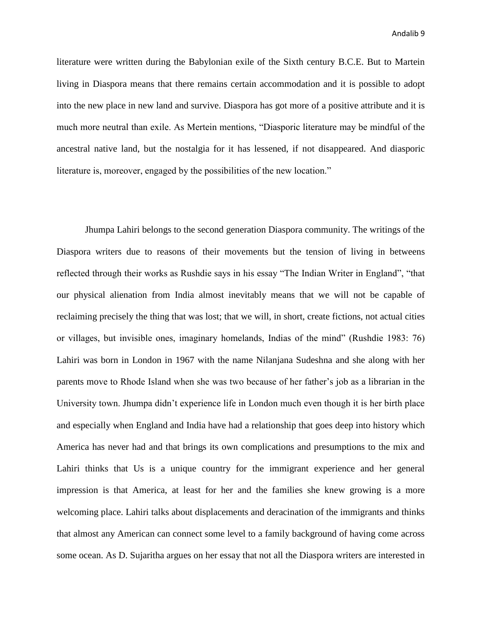literature were written during the Babylonian exile of the Sixth century B.C.E. But to Martein living in Diaspora means that there remains certain accommodation and it is possible to adopt into the new place in new land and survive. Diaspora has got more of a positive attribute and it is much more neutral than exile. As Mertein mentions, "Diasporic literature may be mindful of the ancestral native land, but the nostalgia for it has lessened, if not disappeared. And diasporic literature is, moreover, engaged by the possibilities of the new location."

Jhumpa Lahiri belongs to the second generation Diaspora community. The writings of the Diaspora writers due to reasons of their movements but the tension of living in betweens reflected through their works as Rushdie says in his essay "The Indian Writer in England", "that our physical alienation from India almost inevitably means that we will not be capable of reclaiming precisely the thing that was lost; that we will, in short, create fictions, not actual cities or villages, but invisible ones, imaginary homelands, Indias of the mind" (Rushdie 1983: 76) Lahiri was born in London in 1967 with the name Nilanjana Sudeshna and she along with her parents move to Rhode Island when she was two because of her father's job as a librarian in the University town. Jhumpa didn't experience life in London much even though it is her birth place and especially when England and India have had a relationship that goes deep into history which America has never had and that brings its own complications and presumptions to the mix and Lahiri thinks that Us is a unique country for the immigrant experience and her general impression is that America, at least for her and the families she knew growing is a more welcoming place. Lahiri talks about displacements and deracination of the immigrants and thinks that almost any American can connect some level to a family background of having come across some ocean. As D. Sujaritha argues on her essay that not all the Diaspora writers are interested in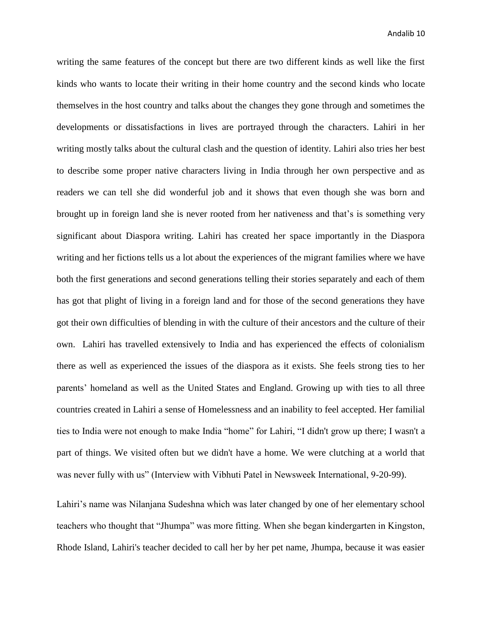writing the same features of the concept but there are two different kinds as well like the first kinds who wants to locate their writing in their home country and the second kinds who locate themselves in the host country and talks about the changes they gone through and sometimes the developments or dissatisfactions in lives are portrayed through the characters. Lahiri in her writing mostly talks about the cultural clash and the question of identity. Lahiri also tries her best to describe some proper native characters living in India through her own perspective and as readers we can tell she did wonderful job and it shows that even though she was born and brought up in foreign land she is never rooted from her nativeness and that's is something very significant about Diaspora writing. Lahiri has created her space importantly in the Diaspora writing and her fictions tells us a lot about the experiences of the migrant families where we have both the first generations and second generations telling their stories separately and each of them has got that plight of living in a foreign land and for those of the second generations they have got their own difficulties of blending in with the culture of their ancestors and the culture of their own. Lahiri has travelled extensively to India and has experienced the effects of colonialism there as well as experienced the issues of the diaspora as it exists. She feels strong ties to her parents' homeland as well as the United States and England. Growing up with ties to all three countries created in Lahiri a sense of Homelessness and an inability to feel accepted. Her familial ties to India were not enough to make India "home" for Lahiri, "I didn't grow up there; I wasn't a part of things. We visited often but we didn't have a home. We were clutching at a world that was never fully with us" (Interview with Vibhuti Patel in Newsweek International, 9-20-99).

Lahiri's name was Nilanjana Sudeshna which was later changed by one of her elementary school teachers who thought that "Jhumpa" was more fitting. When she began kindergarten in Kingston, Rhode Island, Lahiri's teacher decided to call her by her pet name, Jhumpa, because it was easier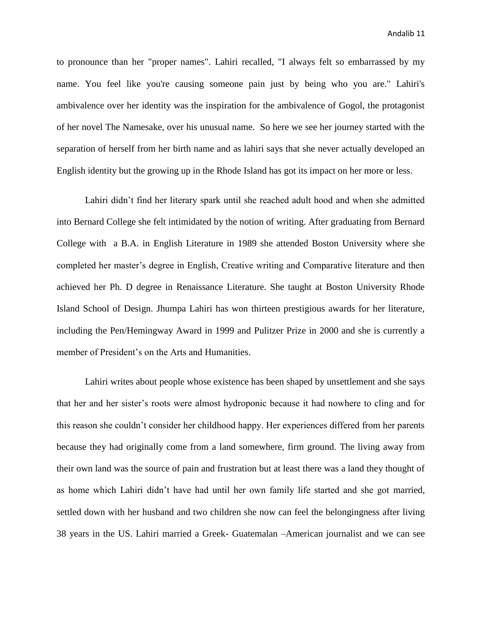to pronounce than her "proper names". Lahiri recalled, "I always felt so embarrassed by my name. You feel like you're causing someone pain just by being who you are." Lahiri's ambivalence over her identity was the inspiration for the ambivalence of Gogol, the protagonist of her novel The Namesake, over his unusual name. So here we see her journey started with the separation of herself from her birth name and as lahiri says that she never actually developed an English identity but the growing up in the Rhode Island has got its impact on her more or less.

Lahiri didn't find her literary spark until she reached adult hood and when she admitted into Bernard College she felt intimidated by the notion of writing. After graduating from Bernard College with a B.A. in English Literature in 1989 she attended Boston University where she completed her master's degree in English, Creative writing and Comparative literature and then achieved her Ph. D degree in Renaissance Literature. She taught at Boston University Rhode Island School of Design. Jhumpa Lahiri has won thirteen prestigious awards for her literature, including the Pen/Hemingway Award in 1999 and Pulitzer Prize in 2000 and she is currently a member of President's on the Arts and Humanities.

Lahiri writes about people whose existence has been shaped by unsettlement and she says that her and her sister's roots were almost hydroponic because it had nowhere to cling and for this reason she couldn't consider her childhood happy. Her experiences differed from her parents because they had originally come from a land somewhere, firm ground. The living away from their own land was the source of pain and frustration but at least there was a land they thought of as home which Lahiri didn't have had until her own family life started and she got married, settled down with her husband and two children she now can feel the belongingness after living 38 years in the US. Lahiri married a Greek- Guatemalan –American journalist and we can see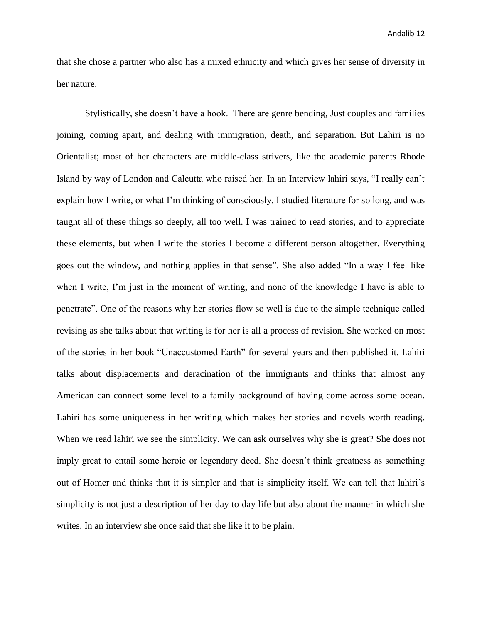that she chose a partner who also has a mixed ethnicity and which gives her sense of diversity in her nature.

Stylistically, she doesn't have a hook. There are genre bending, Just couples and families joining, coming apart, and dealing with immigration, death, and separation. But Lahiri is no Orientalist; most of her characters are middle-class strivers, like the academic parents Rhode Island by way of London and Calcutta who raised her. In an Interview lahiri says, "I really can't explain how I write, or what I'm thinking of consciously. I studied literature for so long, and was taught all of these things so deeply, all too well. I was trained to read stories, and to appreciate these elements, but when I write the stories I become a different person altogether. Everything goes out the window, and nothing applies in that sense". She also added "In a way I feel like when I write, I'm just in the moment of writing, and none of the knowledge I have is able to penetrate". One of the reasons why her stories flow so well is due to the simple technique called revising as she talks about that writing is for her is all a process of revision. She worked on most of the stories in her book "Unaccustomed Earth" for several years and then published it. Lahiri talks about displacements and deracination of the immigrants and thinks that almost any American can connect some level to a family background of having come across some ocean. Lahiri has some uniqueness in her writing which makes her stories and novels worth reading. When we read lahiri we see the simplicity. We can ask ourselves why she is great? She does not imply great to entail some heroic or legendary deed. She doesn't think greatness as something out of Homer and thinks that it is simpler and that is simplicity itself. We can tell that lahiri's simplicity is not just a description of her day to day life but also about the manner in which she writes. In an interview she once said that she like it to be plain.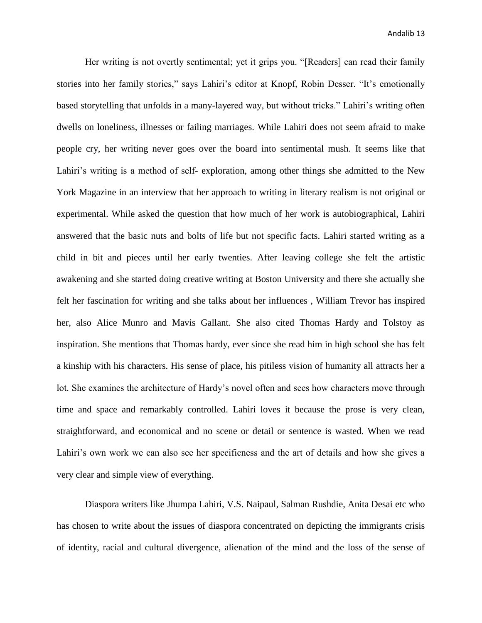Her writing is not overtly sentimental; yet it grips you. "[Readers] can read their family stories into her family stories," says Lahiri's editor at Knopf, Robin Desser. "It's emotionally based storytelling that unfolds in a many-layered way, but without tricks." Lahiri's writing often dwells on loneliness, illnesses or failing marriages. While Lahiri does not seem afraid to make people cry, her writing never goes over the board into sentimental mush. It seems like that Lahiri's writing is a method of self- exploration, among other things she admitted to the New York Magazine in an interview that her approach to writing in literary realism is not original or experimental. While asked the question that how much of her work is autobiographical, Lahiri answered that the basic nuts and bolts of life but not specific facts. Lahiri started writing as a child in bit and pieces until her early twenties. After leaving college she felt the artistic awakening and she started doing creative writing at Boston University and there she actually she felt her fascination for writing and she talks about her influences , William Trevor has inspired her, also Alice Munro and Mavis Gallant. She also cited Thomas Hardy and Tolstoy as inspiration. She mentions that Thomas hardy, ever since she read him in high school she has felt a kinship with his characters. His sense of place, his pitiless vision of humanity all attracts her a lot. She examines the architecture of Hardy's novel often and sees how characters move through time and space and remarkably controlled. Lahiri loves it because the prose is very clean, straightforward, and economical and no scene or detail or sentence is wasted. When we read Lahiri's own work we can also see her specificness and the art of details and how she gives a very clear and simple view of everything.

Diaspora writers like Jhumpa Lahiri, V.S. Naipaul, Salman Rushdie, Anita Desai etc who has chosen to write about the issues of diaspora concentrated on depicting the immigrants crisis of identity, racial and cultural divergence, alienation of the mind and the loss of the sense of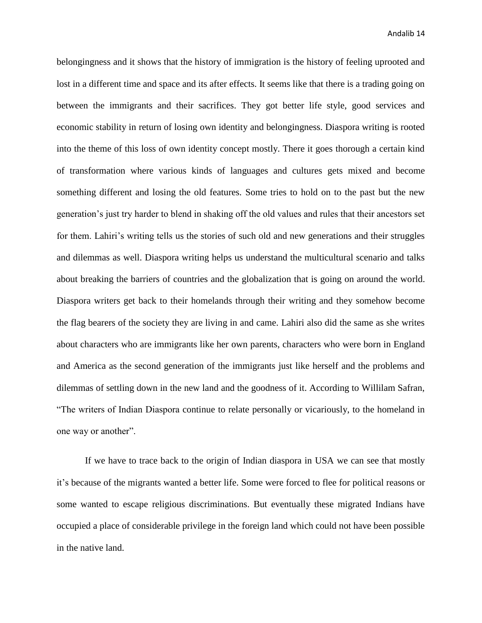Andalib 14

belongingness and it shows that the history of immigration is the history of feeling uprooted and lost in a different time and space and its after effects. It seems like that there is a trading going on between the immigrants and their sacrifices. They got better life style, good services and economic stability in return of losing own identity and belongingness. Diaspora writing is rooted into the theme of this loss of own identity concept mostly. There it goes thorough a certain kind of transformation where various kinds of languages and cultures gets mixed and become something different and losing the old features. Some tries to hold on to the past but the new generation's just try harder to blend in shaking off the old values and rules that their ancestors set for them. Lahiri's writing tells us the stories of such old and new generations and their struggles and dilemmas as well. Diaspora writing helps us understand the multicultural scenario and talks about breaking the barriers of countries and the globalization that is going on around the world. Diaspora writers get back to their homelands through their writing and they somehow become the flag bearers of the society they are living in and came. Lahiri also did the same as she writes about characters who are immigrants like her own parents, characters who were born in England and America as the second generation of the immigrants just like herself and the problems and dilemmas of settling down in the new land and the goodness of it. According to Willilam Safran, "The writers of Indian Diaspora continue to relate personally or vicariously, to the homeland in one way or another".

If we have to trace back to the origin of Indian diaspora in USA we can see that mostly it's because of the migrants wanted a better life. Some were forced to flee for political reasons or some wanted to escape religious discriminations. But eventually these migrated Indians have occupied a place of considerable privilege in the foreign land which could not have been possible in the native land.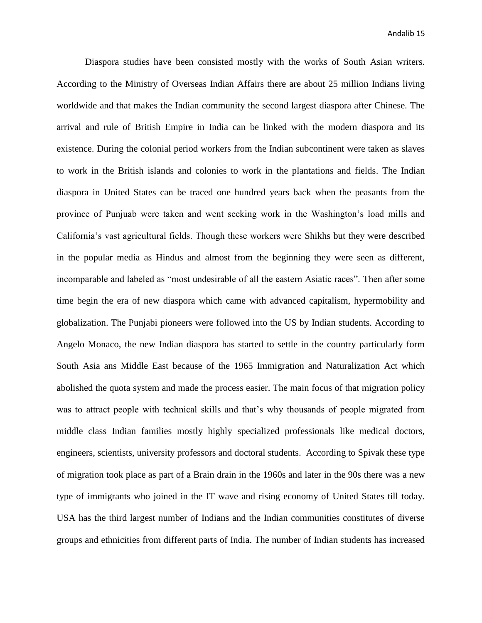Diaspora studies have been consisted mostly with the works of South Asian writers. According to the Ministry of Overseas Indian Affairs there are about 25 million Indians living worldwide and that makes the Indian community the second largest diaspora after Chinese. The arrival and rule of British Empire in India can be linked with the modern diaspora and its existence. During the colonial period workers from the Indian subcontinent were taken as slaves to work in the British islands and colonies to work in the plantations and fields. The Indian diaspora in United States can be traced one hundred years back when the peasants from the province of Punjuab were taken and went seeking work in the Washington's load mills and California's vast agricultural fields. Though these workers were Shikhs but they were described in the popular media as Hindus and almost from the beginning they were seen as different, incomparable and labeled as "most undesirable of all the eastern Asiatic races". Then after some time begin the era of new diaspora which came with advanced capitalism, hypermobility and globalization. The Punjabi pioneers were followed into the US by Indian students. According to Angelo Monaco, the new Indian diaspora has started to settle in the country particularly form South Asia ans Middle East because of the 1965 Immigration and Naturalization Act which abolished the quota system and made the process easier. The main focus of that migration policy was to attract people with technical skills and that's why thousands of people migrated from middle class Indian families mostly highly specialized professionals like medical doctors, engineers, scientists, university professors and doctoral students. According to Spivak these type of migration took place as part of a Brain drain in the 1960s and later in the 90s there was a new type of immigrants who joined in the IT wave and rising economy of United States till today. USA has the third largest number of Indians and the Indian communities constitutes of diverse groups and ethnicities from different parts of India. The number of Indian students has increased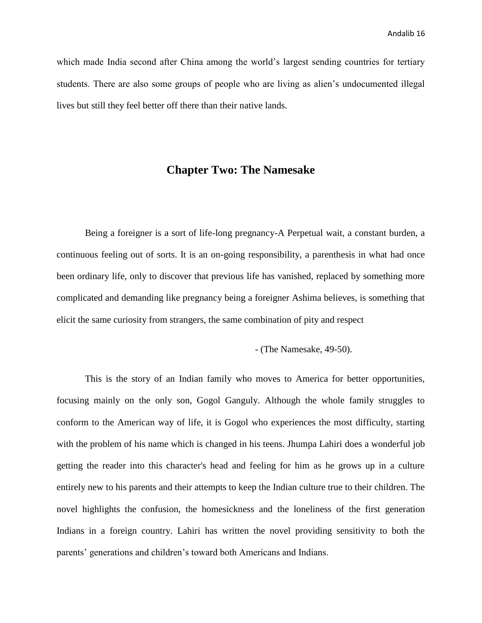which made India second after China among the world's largest sending countries for tertiary students. There are also some groups of people who are living as alien's undocumented illegal lives but still they feel better off there than their native lands.

### **Chapter Two: The Namesake**

Being a foreigner is a sort of life-long pregnancy-A Perpetual wait, a constant burden, a continuous feeling out of sorts. It is an on-going responsibility, a parenthesis in what had once been ordinary life, only to discover that previous life has vanished, replaced by something more complicated and demanding like pregnancy being a foreigner Ashima believes, is something that elicit the same curiosity from strangers, the same combination of pity and respect

```
 - (The Namesake, 49-50).
```
This is the story of an Indian family who moves to America for better opportunities, focusing mainly on the only son, Gogol Ganguly. Although the whole family struggles to conform to the American way of life, it is Gogol who experiences the most difficulty, starting with the problem of his name which is changed in his teens. Jhumpa Lahiri does a wonderful job getting the reader into this character's head and feeling for him as he grows up in a culture entirely new to his parents and their attempts to keep the Indian culture true to their children. The novel highlights the confusion, the homesickness and the loneliness of the first generation Indians in a foreign country. Lahiri has written the novel providing sensitivity to both the parents' generations and children's toward both Americans and Indians.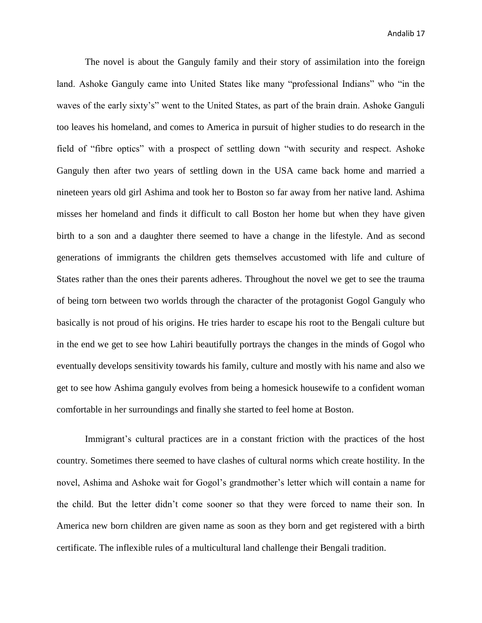The novel is about the Ganguly family and their story of assimilation into the foreign land. Ashoke Ganguly came into United States like many "professional Indians" who "in the waves of the early sixty's" went to the United States, as part of the brain drain. Ashoke Ganguli too leaves his homeland, and comes to America in pursuit of higher studies to do research in the field of "fibre optics" with a prospect of settling down "with security and respect. Ashoke Ganguly then after two years of settling down in the USA came back home and married a nineteen years old girl Ashima and took her to Boston so far away from her native land. Ashima misses her homeland and finds it difficult to call Boston her home but when they have given birth to a son and a daughter there seemed to have a change in the lifestyle. And as second generations of immigrants the children gets themselves accustomed with life and culture of States rather than the ones their parents adheres. Throughout the novel we get to see the trauma of being torn between two worlds through the character of the protagonist Gogol Ganguly who basically is not proud of his origins. He tries harder to escape his root to the Bengali culture but in the end we get to see how Lahiri beautifully portrays the changes in the minds of Gogol who eventually develops sensitivity towards his family, culture and mostly with his name and also we get to see how Ashima ganguly evolves from being a homesick housewife to a confident woman comfortable in her surroundings and finally she started to feel home at Boston.

Immigrant's cultural practices are in a constant friction with the practices of the host country. Sometimes there seemed to have clashes of cultural norms which create hostility. In the novel, Ashima and Ashoke wait for Gogol's grandmother's letter which will contain a name for the child. But the letter didn't come sooner so that they were forced to name their son. In America new born children are given name as soon as they born and get registered with a birth certificate. The inflexible rules of a multicultural land challenge their Bengali tradition.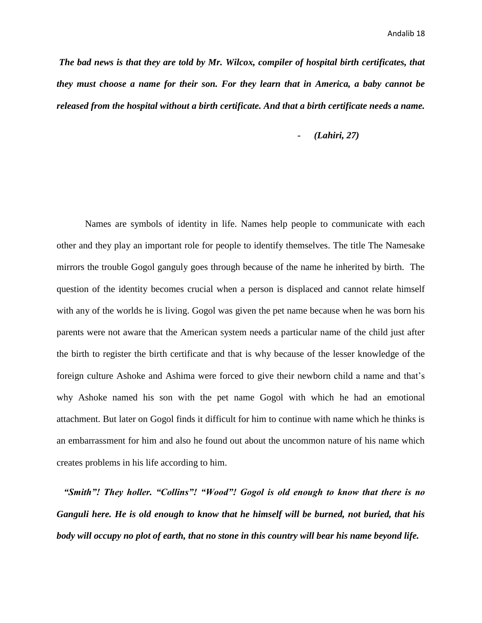Andalib 18

*The bad news is that they are told by Mr. Wilcox, compiler of hospital birth certificates, that they must choose a name for their son. For they learn that in America, a baby cannot be released from the hospital without a birth certificate. And that a birth certificate needs a name.*

 *- (Lahiri, 27)*

Names are symbols of identity in life. Names help people to communicate with each other and they play an important role for people to identify themselves. The title The Namesake mirrors the trouble Gogol ganguly goes through because of the name he inherited by birth. The question of the identity becomes crucial when a person is displaced and cannot relate himself with any of the worlds he is living. Gogol was given the pet name because when he was born his parents were not aware that the American system needs a particular name of the child just after the birth to register the birth certificate and that is why because of the lesser knowledge of the foreign culture Ashoke and Ashima were forced to give their newborn child a name and that's why Ashoke named his son with the pet name Gogol with which he had an emotional attachment. But later on Gogol finds it difficult for him to continue with name which he thinks is an embarrassment for him and also he found out about the uncommon nature of his name which creates problems in his life according to him.

 *"Smith"! They holler. "Collins"! "Wood"! Gogol is old enough to know that there is no Ganguli here. He is old enough to know that he himself will be burned, not buried, that his body will occupy no plot of earth, that no stone in this country will bear his name beyond life.*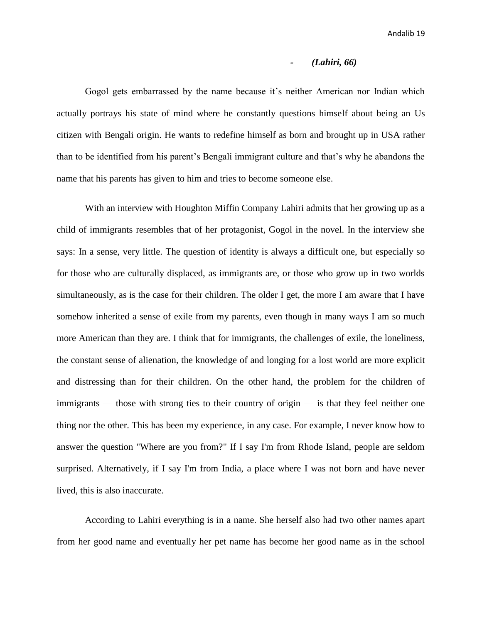#### *- (Lahiri, 66)*

Gogol gets embarrassed by the name because it's neither American nor Indian which actually portrays his state of mind where he constantly questions himself about being an Us citizen with Bengali origin. He wants to redefine himself as born and brought up in USA rather than to be identified from his parent's Bengali immigrant culture and that's why he abandons the name that his parents has given to him and tries to become someone else.

With an interview with Houghton Miffin Company Lahiri admits that her growing up as a child of immigrants resembles that of her protagonist, Gogol in the novel. In the interview she says: In a sense, very little. The question of identity is always a difficult one, but especially so for those who are culturally displaced, as immigrants are, or those who grow up in two worlds simultaneously, as is the case for their children. The older I get, the more I am aware that I have somehow inherited a sense of exile from my parents, even though in many ways I am so much more American than they are. I think that for immigrants, the challenges of exile, the loneliness, the constant sense of alienation, the knowledge of and longing for a lost world are more explicit and distressing than for their children. On the other hand, the problem for the children of immigrants — those with strong ties to their country of origin — is that they feel neither one thing nor the other. This has been my experience, in any case. For example, I never know how to answer the question "Where are you from?" If I say I'm from Rhode Island, people are seldom surprised. Alternatively, if I say I'm from India, a place where I was not born and have never lived, this is also inaccurate.

According to Lahiri everything is in a name. She herself also had two other names apart from her good name and eventually her pet name has become her good name as in the school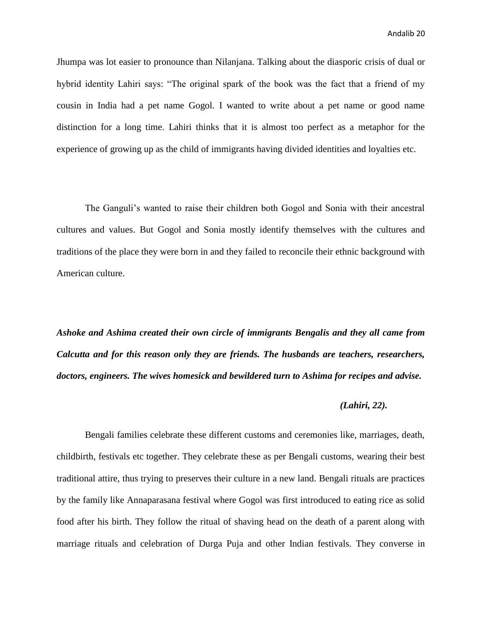Jhumpa was lot easier to pronounce than Nilanjana. Talking about the diasporic crisis of dual or hybrid identity Lahiri says: "The original spark of the book was the fact that a friend of my cousin in India had a pet name Gogol. I wanted to write about a pet name or good name distinction for a long time. Lahiri thinks that it is almost too perfect as a metaphor for the experience of growing up as the child of immigrants having divided identities and loyalties etc.

The Ganguli's wanted to raise their children both Gogol and Sonia with their ancestral cultures and values. But Gogol and Sonia mostly identify themselves with the cultures and traditions of the place they were born in and they failed to reconcile their ethnic background with American culture.

*Ashoke and Ashima created their own circle of immigrants Bengalis and they all came from Calcutta and for this reason only they are friends. The husbands are teachers, researchers, doctors, engineers. The wives homesick and bewildered turn to Ashima for recipes and advise.* 

### *(Lahiri, 22).*

Bengali families celebrate these different customs and ceremonies like, marriages, death, childbirth, festivals etc together. They celebrate these as per Bengali customs, wearing their best traditional attire, thus trying to preserves their culture in a new land. Bengali rituals are practices by the family like Annaparasana festival where Gogol was first introduced to eating rice as solid food after his birth. They follow the ritual of shaving head on the death of a parent along with marriage rituals and celebration of Durga Puja and other Indian festivals. They converse in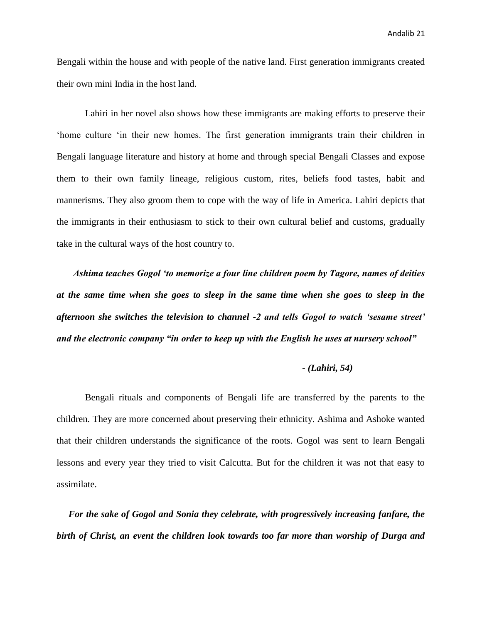Bengali within the house and with people of the native land. First generation immigrants created their own mini India in the host land.

Lahiri in her novel also shows how these immigrants are making efforts to preserve their 'home culture 'in their new homes. The first generation immigrants train their children in Bengali language literature and history at home and through special Bengali Classes and expose them to their own family lineage, religious custom, rites, beliefs food tastes, habit and mannerisms. They also groom them to cope with the way of life in America. Lahiri depicts that the immigrants in their enthusiasm to stick to their own cultural belief and customs, gradually take in the cultural ways of the host country to.

 *Ashima teaches Gogol 'to memorize a four line children poem by Tagore, names of deities at the same time when she goes to sleep in the same time when she goes to sleep in the afternoon she switches the television to channel -2 and tells Gogol to watch 'sesame street' and the electronic company "in order to keep up with the English he uses at nursery school"* 

### *- (Lahiri, 54)*

Bengali rituals and components of Bengali life are transferred by the parents to the children. They are more concerned about preserving their ethnicity. Ashima and Ashoke wanted that their children understands the significance of the roots. Gogol was sent to learn Bengali lessons and every year they tried to visit Calcutta. But for the children it was not that easy to assimilate.

 *For the sake of Gogol and Sonia they celebrate, with progressively increasing fanfare, the birth of Christ, an event the children look towards too far more than worship of Durga and*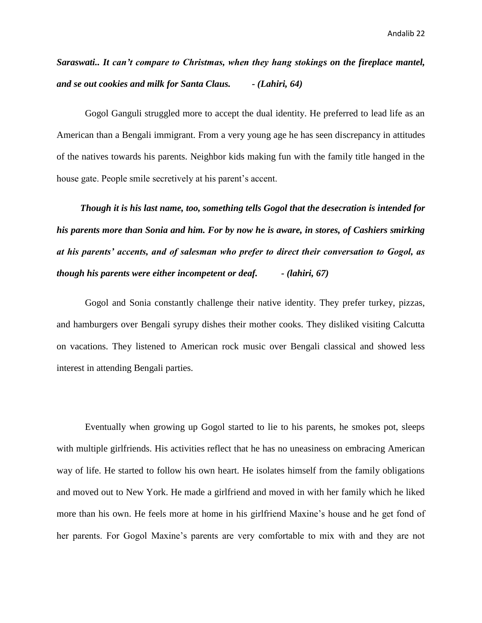# *Saraswati.. It can't compare to Christmas, when they hang stokings on the fireplace mantel, and se out cookies and milk for Santa Claus. - (Lahiri, 64)*

Gogol Ganguli struggled more to accept the dual identity. He preferred to lead life as an American than a Bengali immigrant. From a very young age he has seen discrepancy in attitudes of the natives towards his parents. Neighbor kids making fun with the family title hanged in the house gate. People smile secretively at his parent's accent.

 *Though it is his last name, too, something tells Gogol that the desecration is intended for his parents more than Sonia and him. For by now he is aware, in stores, of Cashiers smirking at his parents' accents, and of salesman who prefer to direct their conversation to Gogol, as though his parents were either incompetent or deaf. - (lahiri, 67)* 

Gogol and Sonia constantly challenge their native identity. They prefer turkey, pizzas, and hamburgers over Bengali syrupy dishes their mother cooks. They disliked visiting Calcutta on vacations. They listened to American rock music over Bengali classical and showed less interest in attending Bengali parties.

Eventually when growing up Gogol started to lie to his parents, he smokes pot, sleeps with multiple girlfriends. His activities reflect that he has no uneasiness on embracing American way of life. He started to follow his own heart. He isolates himself from the family obligations and moved out to New York. He made a girlfriend and moved in with her family which he liked more than his own. He feels more at home in his girlfriend Maxine's house and he get fond of her parents. For Gogol Maxine's parents are very comfortable to mix with and they are not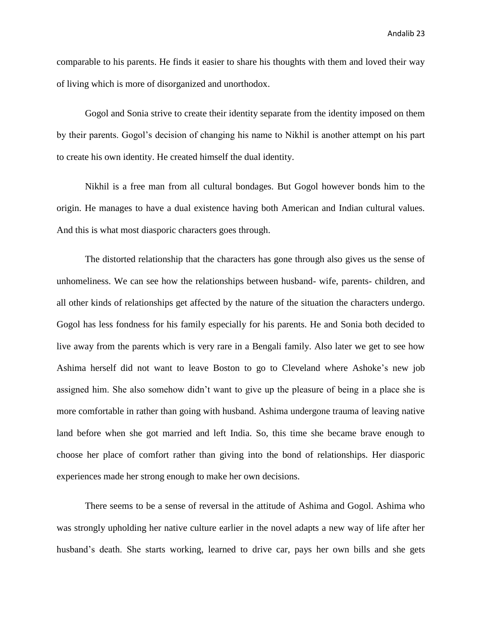comparable to his parents. He finds it easier to share his thoughts with them and loved their way of living which is more of disorganized and unorthodox.

Gogol and Sonia strive to create their identity separate from the identity imposed on them by their parents. Gogol's decision of changing his name to Nikhil is another attempt on his part to create his own identity. He created himself the dual identity.

Nikhil is a free man from all cultural bondages. But Gogol however bonds him to the origin. He manages to have a dual existence having both American and Indian cultural values. And this is what most diasporic characters goes through.

The distorted relationship that the characters has gone through also gives us the sense of unhomeliness. We can see how the relationships between husband- wife, parents- children, and all other kinds of relationships get affected by the nature of the situation the characters undergo. Gogol has less fondness for his family especially for his parents. He and Sonia both decided to live away from the parents which is very rare in a Bengali family. Also later we get to see how Ashima herself did not want to leave Boston to go to Cleveland where Ashoke's new job assigned him. She also somehow didn't want to give up the pleasure of being in a place she is more comfortable in rather than going with husband. Ashima undergone trauma of leaving native land before when she got married and left India. So, this time she became brave enough to choose her place of comfort rather than giving into the bond of relationships. Her diasporic experiences made her strong enough to make her own decisions.

There seems to be a sense of reversal in the attitude of Ashima and Gogol. Ashima who was strongly upholding her native culture earlier in the novel adapts a new way of life after her husband's death. She starts working, learned to drive car, pays her own bills and she gets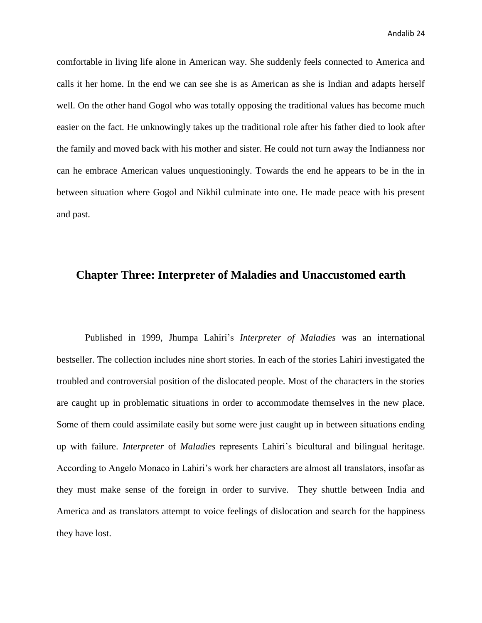comfortable in living life alone in American way. She suddenly feels connected to America and calls it her home. In the end we can see she is as American as she is Indian and adapts herself well. On the other hand Gogol who was totally opposing the traditional values has become much easier on the fact. He unknowingly takes up the traditional role after his father died to look after the family and moved back with his mother and sister. He could not turn away the Indianness nor can he embrace American values unquestioningly. Towards the end he appears to be in the in between situation where Gogol and Nikhil culminate into one. He made peace with his present and past.

### **Chapter Three: Interpreter of Maladies and Unaccustomed earth**

Published in 1999, Jhumpa Lahiri's *Interpreter of Maladies* was an international bestseller. The collection includes nine short stories. In each of the stories Lahiri investigated the troubled and controversial position of the dislocated people. Most of the characters in the stories are caught up in problematic situations in order to accommodate themselves in the new place. Some of them could assimilate easily but some were just caught up in between situations ending up with failure. *Interpreter* of *Maladies* represents Lahiri's bicultural and bilingual heritage. According to Angelo Monaco in Lahiri's work her characters are almost all translators, insofar as they must make sense of the foreign in order to survive. They shuttle between India and America and as translators attempt to voice feelings of dislocation and search for the happiness they have lost.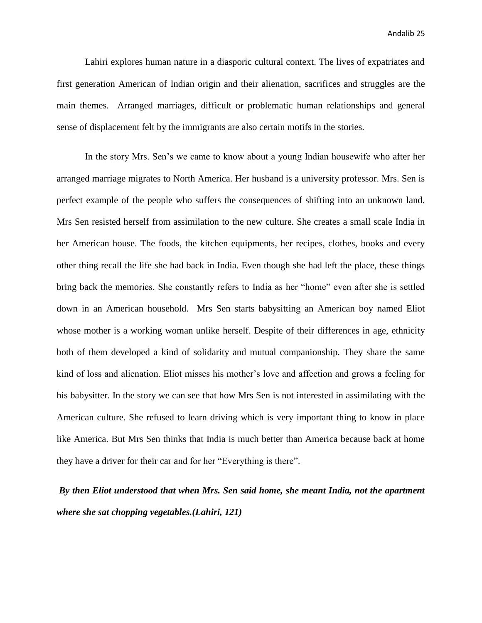Andalib 25

Lahiri explores human nature in a diasporic cultural context. The lives of expatriates and first generation American of Indian origin and their alienation, sacrifices and struggles are the main themes. Arranged marriages, difficult or problematic human relationships and general sense of displacement felt by the immigrants are also certain motifs in the stories.

In the story Mrs. Sen's we came to know about a young Indian housewife who after her arranged marriage migrates to North America. Her husband is a university professor. Mrs. Sen is perfect example of the people who suffers the consequences of shifting into an unknown land. Mrs Sen resisted herself from assimilation to the new culture. She creates a small scale India in her American house. The foods, the kitchen equipments, her recipes, clothes, books and every other thing recall the life she had back in India. Even though she had left the place, these things bring back the memories. She constantly refers to India as her "home" even after she is settled down in an American household. Mrs Sen starts babysitting an American boy named Eliot whose mother is a working woman unlike herself. Despite of their differences in age, ethnicity both of them developed a kind of solidarity and mutual companionship. They share the same kind of loss and alienation. Eliot misses his mother's love and affection and grows a feeling for his babysitter. In the story we can see that how Mrs Sen is not interested in assimilating with the American culture. She refused to learn driving which is very important thing to know in place like America. But Mrs Sen thinks that India is much better than America because back at home they have a driver for their car and for her "Everything is there".

*By then Eliot understood that when Mrs. Sen said home, she meant India, not the apartment where she sat chopping vegetables.(Lahiri, 121)*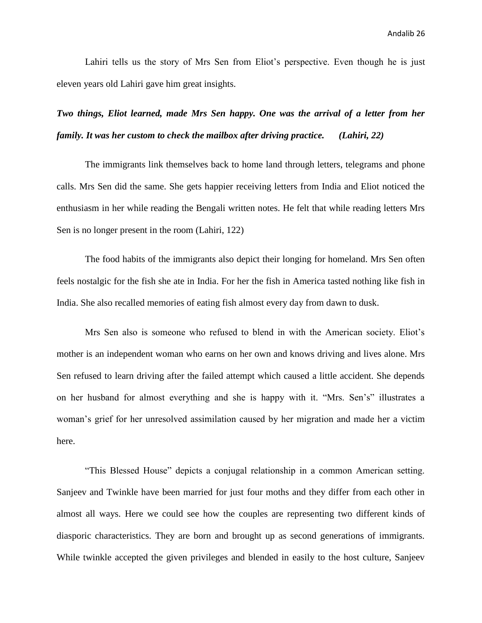Lahiri tells us the story of Mrs Sen from Eliot's perspective. Even though he is just eleven years old Lahiri gave him great insights.

# *Two things, Eliot learned, made Mrs Sen happy. One was the arrival of a letter from her family. It was her custom to check the mailbox after driving practice. (Lahiri, 22)*

The immigrants link themselves back to home land through letters, telegrams and phone calls. Mrs Sen did the same. She gets happier receiving letters from India and Eliot noticed the enthusiasm in her while reading the Bengali written notes. He felt that while reading letters Mrs Sen is no longer present in the room (Lahiri, 122)

The food habits of the immigrants also depict their longing for homeland. Mrs Sen often feels nostalgic for the fish she ate in India. For her the fish in America tasted nothing like fish in India. She also recalled memories of eating fish almost every day from dawn to dusk.

Mrs Sen also is someone who refused to blend in with the American society. Eliot's mother is an independent woman who earns on her own and knows driving and lives alone. Mrs Sen refused to learn driving after the failed attempt which caused a little accident. She depends on her husband for almost everything and she is happy with it. "Mrs. Sen's" illustrates a woman's grief for her unresolved assimilation caused by her migration and made her a victim here.

"This Blessed House" depicts a conjugal relationship in a common American setting. Sanjeev and Twinkle have been married for just four moths and they differ from each other in almost all ways. Here we could see how the couples are representing two different kinds of diasporic characteristics. They are born and brought up as second generations of immigrants. While twinkle accepted the given privileges and blended in easily to the host culture, Sanjeev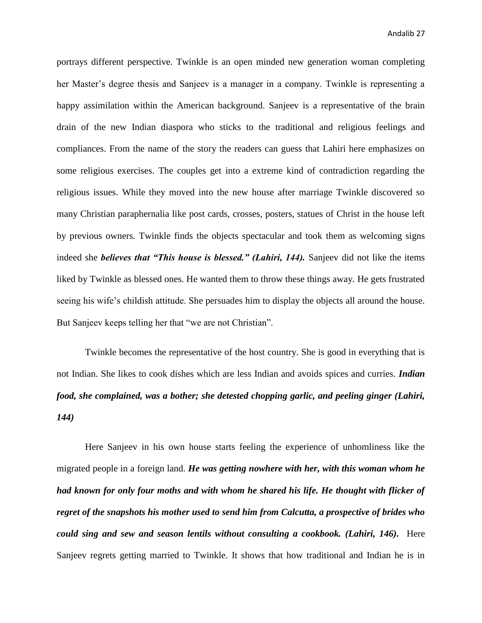portrays different perspective. Twinkle is an open minded new generation woman completing her Master's degree thesis and Sanjeev is a manager in a company. Twinkle is representing a happy assimilation within the American background. Sanjeev is a representative of the brain drain of the new Indian diaspora who sticks to the traditional and religious feelings and compliances. From the name of the story the readers can guess that Lahiri here emphasizes on some religious exercises. The couples get into a extreme kind of contradiction regarding the religious issues. While they moved into the new house after marriage Twinkle discovered so many Christian paraphernalia like post cards, crosses, posters, statues of Christ in the house left by previous owners. Twinkle finds the objects spectacular and took them as welcoming signs indeed she *believes that "This house is blessed." (Lahiri, 144).* Sanjeev did not like the items liked by Twinkle as blessed ones. He wanted them to throw these things away. He gets frustrated seeing his wife's childish attitude. She persuades him to display the objects all around the house. But Sanjeev keeps telling her that "we are not Christian".

Twinkle becomes the representative of the host country. She is good in everything that is not Indian. She likes to cook dishes which are less Indian and avoids spices and curries. *Indian food, she complained, was a bother; she detested chopping garlic, and peeling ginger (Lahiri, 144)*

Here Sanjeev in his own house starts feeling the experience of unhomliness like the migrated people in a foreign land. *He was getting nowhere with her, with this woman whom he had known for only four moths and with whom he shared his life. He thought with flicker of regret of the snapshots his mother used to send him from Calcutta, a prospective of brides who* could sing and sew and season lentils without consulting a cookbook. (Lahiri, 146). Here Sanjeev regrets getting married to Twinkle. It shows that how traditional and Indian he is in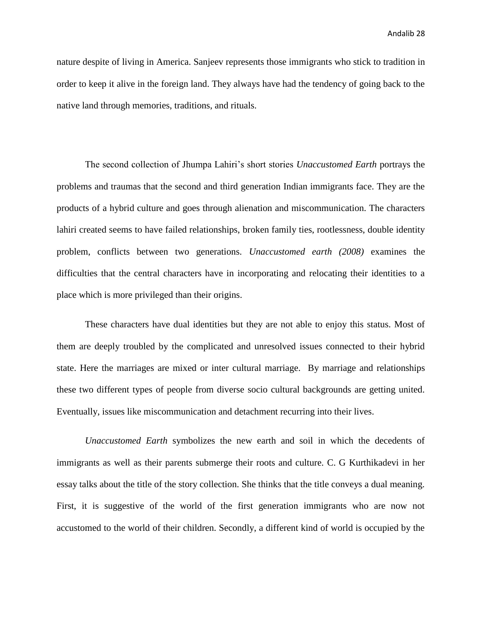Andalib 28

nature despite of living in America. Sanjeev represents those immigrants who stick to tradition in order to keep it alive in the foreign land. They always have had the tendency of going back to the native land through memories, traditions, and rituals.

The second collection of Jhumpa Lahiri's short stories *Unaccustomed Earth* portrays the problems and traumas that the second and third generation Indian immigrants face. They are the products of a hybrid culture and goes through alienation and miscommunication. The characters lahiri created seems to have failed relationships, broken family ties, rootlessness, double identity problem, conflicts between two generations. *Unaccustomed earth (2008)* examines the difficulties that the central characters have in incorporating and relocating their identities to a place which is more privileged than their origins.

These characters have dual identities but they are not able to enjoy this status. Most of them are deeply troubled by the complicated and unresolved issues connected to their hybrid state. Here the marriages are mixed or inter cultural marriage. By marriage and relationships these two different types of people from diverse socio cultural backgrounds are getting united. Eventually, issues like miscommunication and detachment recurring into their lives.

*Unaccustomed Earth* symbolizes the new earth and soil in which the decedents of immigrants as well as their parents submerge their roots and culture. C. G Kurthikadevi in her essay talks about the title of the story collection. She thinks that the title conveys a dual meaning. First, it is suggestive of the world of the first generation immigrants who are now not accustomed to the world of their children. Secondly, a different kind of world is occupied by the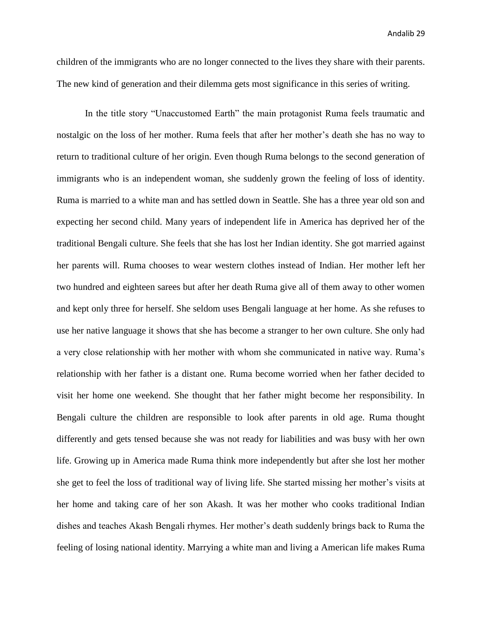children of the immigrants who are no longer connected to the lives they share with their parents. The new kind of generation and their dilemma gets most significance in this series of writing.

In the title story "Unaccustomed Earth" the main protagonist Ruma feels traumatic and nostalgic on the loss of her mother. Ruma feels that after her mother's death she has no way to return to traditional culture of her origin. Even though Ruma belongs to the second generation of immigrants who is an independent woman, she suddenly grown the feeling of loss of identity. Ruma is married to a white man and has settled down in Seattle. She has a three year old son and expecting her second child. Many years of independent life in America has deprived her of the traditional Bengali culture. She feels that she has lost her Indian identity. She got married against her parents will. Ruma chooses to wear western clothes instead of Indian. Her mother left her two hundred and eighteen sarees but after her death Ruma give all of them away to other women and kept only three for herself. She seldom uses Bengali language at her home. As she refuses to use her native language it shows that she has become a stranger to her own culture. She only had a very close relationship with her mother with whom she communicated in native way. Ruma's relationship with her father is a distant one. Ruma become worried when her father decided to visit her home one weekend. She thought that her father might become her responsibility. In Bengali culture the children are responsible to look after parents in old age. Ruma thought differently and gets tensed because she was not ready for liabilities and was busy with her own life. Growing up in America made Ruma think more independently but after she lost her mother she get to feel the loss of traditional way of living life. She started missing her mother's visits at her home and taking care of her son Akash. It was her mother who cooks traditional Indian dishes and teaches Akash Bengali rhymes. Her mother's death suddenly brings back to Ruma the feeling of losing national identity. Marrying a white man and living a American life makes Ruma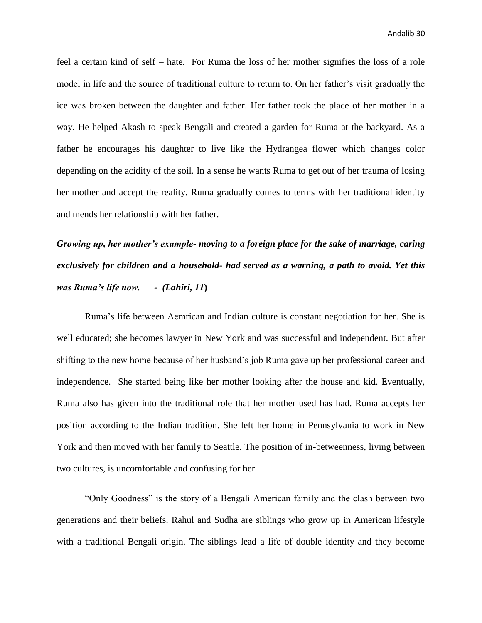Andalib 30

feel a certain kind of self – hate. For Ruma the loss of her mother signifies the loss of a role model in life and the source of traditional culture to return to. On her father's visit gradually the ice was broken between the daughter and father. Her father took the place of her mother in a way. He helped Akash to speak Bengali and created a garden for Ruma at the backyard. As a father he encourages his daughter to live like the Hydrangea flower which changes color depending on the acidity of the soil. In a sense he wants Ruma to get out of her trauma of losing her mother and accept the reality. Ruma gradually comes to terms with her traditional identity and mends her relationship with her father.

# *Growing up, her mother's example- moving to a foreign place for the sake of marriage, caring exclusively for children and a household- had served as a warning, a path to avoid. Yet this was Ruma's life now. - (Lahiri, 11***)**

Ruma's life between Aemrican and Indian culture is constant negotiation for her. She is well educated; she becomes lawyer in New York and was successful and independent. But after shifting to the new home because of her husband's job Ruma gave up her professional career and independence. She started being like her mother looking after the house and kid. Eventually, Ruma also has given into the traditional role that her mother used has had. Ruma accepts her position according to the Indian tradition. She left her home in Pennsylvania to work in New York and then moved with her family to Seattle. The position of in-betweenness, living between two cultures, is uncomfortable and confusing for her.

"Only Goodness" is the story of a Bengali American family and the clash between two generations and their beliefs. Rahul and Sudha are siblings who grow up in American lifestyle with a traditional Bengali origin. The siblings lead a life of double identity and they become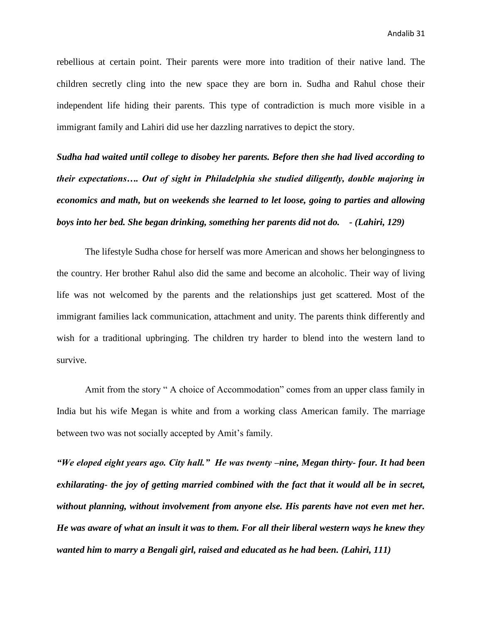rebellious at certain point. Their parents were more into tradition of their native land. The children secretly cling into the new space they are born in. Sudha and Rahul chose their independent life hiding their parents. This type of contradiction is much more visible in a immigrant family and Lahiri did use her dazzling narratives to depict the story.

*Sudha had waited until college to disobey her parents. Before then she had lived according to their expectations…. Out of sight in Philadelphia she studied diligently, double majoring in economics and math, but on weekends she learned to let loose, going to parties and allowing boys into her bed. She began drinking, something her parents did not do. - (Lahiri, 129)*

The lifestyle Sudha chose for herself was more American and shows her belongingness to the country. Her brother Rahul also did the same and become an alcoholic. Their way of living life was not welcomed by the parents and the relationships just get scattered. Most of the immigrant families lack communication, attachment and unity. The parents think differently and wish for a traditional upbringing. The children try harder to blend into the western land to survive.

Amit from the story " A choice of Accommodation" comes from an upper class family in India but his wife Megan is white and from a working class American family. The marriage between two was not socially accepted by Amit's family.

*"We eloped eight years ago. City hall." He was twenty –nine, Megan thirty- four. It had been exhilarating- the joy of getting married combined with the fact that it would all be in secret, without planning, without involvement from anyone else. His parents have not even met her. He was aware of what an insult it was to them. For all their liberal western ways he knew they wanted him to marry a Bengali girl, raised and educated as he had been. (Lahiri, 111)*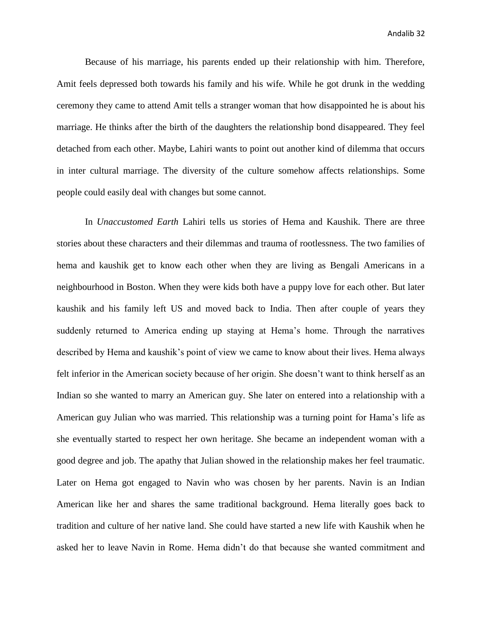Because of his marriage, his parents ended up their relationship with him. Therefore, Amit feels depressed both towards his family and his wife. While he got drunk in the wedding ceremony they came to attend Amit tells a stranger woman that how disappointed he is about his marriage. He thinks after the birth of the daughters the relationship bond disappeared. They feel detached from each other. Maybe, Lahiri wants to point out another kind of dilemma that occurs in inter cultural marriage. The diversity of the culture somehow affects relationships. Some people could easily deal with changes but some cannot.

In *Unaccustomed Earth* Lahiri tells us stories of Hema and Kaushik. There are three stories about these characters and their dilemmas and trauma of rootlessness. The two families of hema and kaushik get to know each other when they are living as Bengali Americans in a neighbourhood in Boston. When they were kids both have a puppy love for each other. But later kaushik and his family left US and moved back to India. Then after couple of years they suddenly returned to America ending up staying at Hema's home. Through the narratives described by Hema and kaushik's point of view we came to know about their lives. Hema always felt inferior in the American society because of her origin. She doesn't want to think herself as an Indian so she wanted to marry an American guy. She later on entered into a relationship with a American guy Julian who was married. This relationship was a turning point for Hama's life as she eventually started to respect her own heritage. She became an independent woman with a good degree and job. The apathy that Julian showed in the relationship makes her feel traumatic. Later on Hema got engaged to Navin who was chosen by her parents. Navin is an Indian American like her and shares the same traditional background. Hema literally goes back to tradition and culture of her native land. She could have started a new life with Kaushik when he asked her to leave Navin in Rome. Hema didn't do that because she wanted commitment and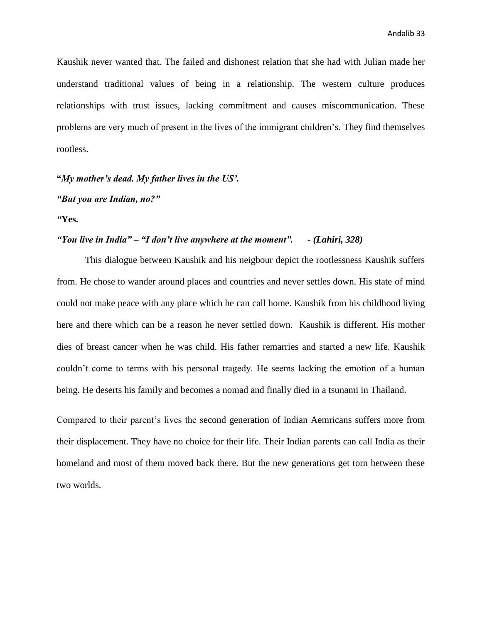Kaushik never wanted that. The failed and dishonest relation that she had with Julian made her understand traditional values of being in a relationship. The western culture produces relationships with trust issues, lacking commitment and causes miscommunication. These problems are very much of present in the lives of the immigrant children's. They find themselves rootless.

### **"***My mother's dead. My father lives in the US'.*

*"But you are Indian, no?"*

*"***Yes.**

### *"You live in India" – "I don't live anywhere at the moment". - (Lahiri, 328)*

This dialogue between Kaushik and his neigbour depict the rootlessness Kaushik suffers from. He chose to wander around places and countries and never settles down. His state of mind could not make peace with any place which he can call home. Kaushik from his childhood living here and there which can be a reason he never settled down. Kaushik is different. His mother dies of breast cancer when he was child. His father remarries and started a new life. Kaushik couldn't come to terms with his personal tragedy. He seems lacking the emotion of a human being. He deserts his family and becomes a nomad and finally died in a tsunami in Thailand.

Compared to their parent's lives the second generation of Indian Aemricans suffers more from their displacement. They have no choice for their life. Their Indian parents can call India as their homeland and most of them moved back there. But the new generations get torn between these two worlds.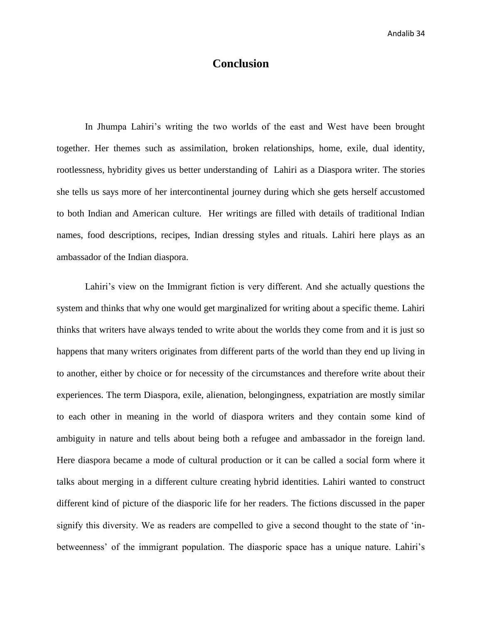## **Conclusion**

In Jhumpa Lahiri's writing the two worlds of the east and West have been brought together. Her themes such as assimilation, broken relationships, home, exile, dual identity, rootlessness, hybridity gives us better understanding of Lahiri as a Diaspora writer. The stories she tells us says more of her intercontinental journey during which she gets herself accustomed to both Indian and American culture. Her writings are filled with details of traditional Indian names, food descriptions, recipes, Indian dressing styles and rituals. Lahiri here plays as an ambassador of the Indian diaspora.

Lahiri's view on the Immigrant fiction is very different. And she actually questions the system and thinks that why one would get marginalized for writing about a specific theme. Lahiri thinks that writers have always tended to write about the worlds they come from and it is just so happens that many writers originates from different parts of the world than they end up living in to another, either by choice or for necessity of the circumstances and therefore write about their experiences. The term Diaspora, exile, alienation, belongingness, expatriation are mostly similar to each other in meaning in the world of diaspora writers and they contain some kind of ambiguity in nature and tells about being both a refugee and ambassador in the foreign land. Here diaspora became a mode of cultural production or it can be called a social form where it talks about merging in a different culture creating hybrid identities. Lahiri wanted to construct different kind of picture of the diasporic life for her readers. The fictions discussed in the paper signify this diversity. We as readers are compelled to give a second thought to the state of 'inbetweenness' of the immigrant population. The diasporic space has a unique nature. Lahiri's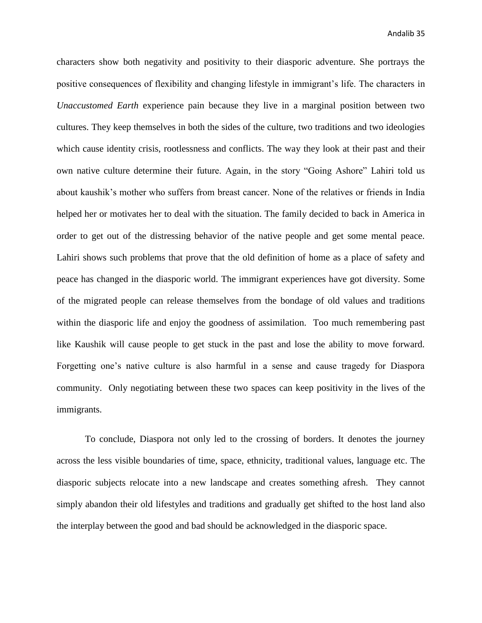characters show both negativity and positivity to their diasporic adventure. She portrays the positive consequences of flexibility and changing lifestyle in immigrant's life. The characters in *Unaccustomed Earth* experience pain because they live in a marginal position between two cultures. They keep themselves in both the sides of the culture, two traditions and two ideologies which cause identity crisis, rootlessness and conflicts. The way they look at their past and their own native culture determine their future. Again, in the story "Going Ashore" Lahiri told us about kaushik's mother who suffers from breast cancer. None of the relatives or friends in India helped her or motivates her to deal with the situation. The family decided to back in America in order to get out of the distressing behavior of the native people and get some mental peace. Lahiri shows such problems that prove that the old definition of home as a place of safety and peace has changed in the diasporic world. The immigrant experiences have got diversity. Some of the migrated people can release themselves from the bondage of old values and traditions within the diasporic life and enjoy the goodness of assimilation. Too much remembering past like Kaushik will cause people to get stuck in the past and lose the ability to move forward. Forgetting one's native culture is also harmful in a sense and cause tragedy for Diaspora community. Only negotiating between these two spaces can keep positivity in the lives of the immigrants.

To conclude, Diaspora not only led to the crossing of borders. It denotes the journey across the less visible boundaries of time, space, ethnicity, traditional values, language etc. The diasporic subjects relocate into a new landscape and creates something afresh. They cannot simply abandon their old lifestyles and traditions and gradually get shifted to the host land also the interplay between the good and bad should be acknowledged in the diasporic space.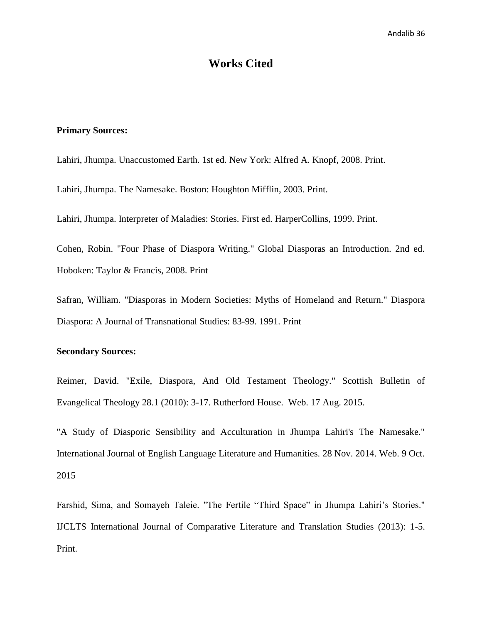### **Works Cited**

#### **Primary Sources:**

Lahiri, Jhumpa. Unaccustomed Earth. 1st ed. New York: Alfred A. Knopf, 2008. Print.

Lahiri, Jhumpa. The Namesake. Boston: Houghton Mifflin, 2003. Print.

Lahiri, Jhumpa. Interpreter of Maladies: Stories. First ed. HarperCollins, 1999. Print.

Cohen, Robin. "Four Phase of Diaspora Writing." Global Diasporas an Introduction. 2nd ed. Hoboken: Taylor & Francis, 2008. Print

Safran, William. "Diasporas in Modern Societies: Myths of Homeland and Return." Diaspora Diaspora: A Journal of Transnational Studies: 83-99. 1991. Print

#### **Secondary Sources:**

Reimer, David. "Exile, Diaspora, And Old Testament Theology." Scottish Bulletin of Evangelical Theology 28.1 (2010): 3-17. Rutherford House. Web. 17 Aug. 2015.

"A Study of Diasporic Sensibility and Acculturation in Jhumpa Lahiri's The Namesake." International Journal of English Language Literature and Humanities. 28 Nov. 2014. Web. 9 Oct. 2015

Farshid, Sima, and Somayeh Taleie. "The Fertile "Third Space" in Jhumpa Lahiri's Stories." IJCLTS International Journal of Comparative Literature and Translation Studies (2013): 1-5. Print.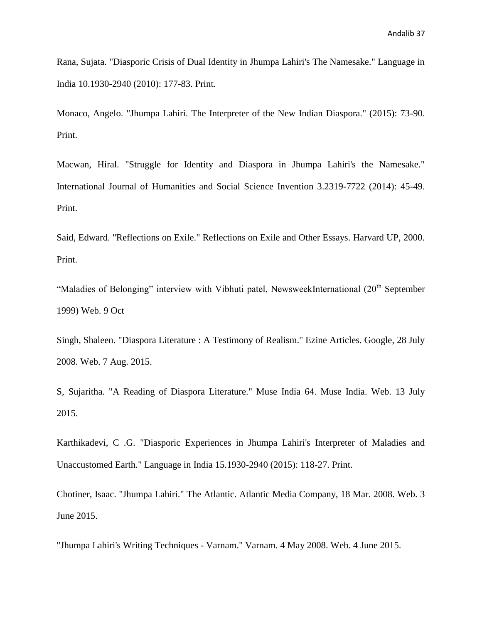Rana, Sujata. "Diasporic Crisis of Dual Identity in Jhumpa Lahiri's The Namesake." Language in India 10.1930-2940 (2010): 177-83. Print.

Monaco, Angelo. "Jhumpa Lahiri. The Interpreter of the New Indian Diaspora." (2015): 73-90. Print.

Macwan, Hiral. "Struggle for Identity and Diaspora in Jhumpa Lahiri's the Namesake." International Journal of Humanities and Social Science Invention 3.2319-7722 (2014): 45-49. Print.

Said, Edward. "Reflections on Exile." Reflections on Exile and Other Essays. Harvard UP, 2000. Print.

"Maladies of Belonging" interview with Vibhuti patel, NewsweekInternational (20<sup>th</sup> September 1999) Web. 9 Oct

Singh, Shaleen. "Diaspora Literature : A Testimony of Realism." Ezine Articles. Google, 28 July 2008. Web. 7 Aug. 2015.

S, Sujaritha. "A Reading of Diaspora Literature." Muse India 64. Muse India. Web. 13 July 2015.

Karthikadevi, C .G. "Diasporic Experiences in Jhumpa Lahiri's Interpreter of Maladies and Unaccustomed Earth." Language in India 15.1930-2940 (2015): 118-27. Print.

Chotiner, Isaac. "Jhumpa Lahiri." The Atlantic. Atlantic Media Company, 18 Mar. 2008. Web. 3 June 2015.

"Jhumpa Lahiri's Writing Techniques - Varnam." Varnam. 4 May 2008. Web. 4 June 2015.